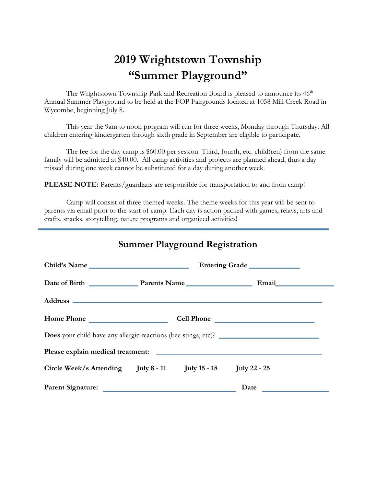# **2019 Wrightstown Township "Summer Playground"**

The Wrightstown Township Park and Recreation Board is pleased to announce its 46<sup>th</sup> Annual Summer Playground to be held at the FOP Fairgrounds located at 1058 Mill Creek Road in Wycombe, beginning July 8.

This year the 9am to noon program will run for three weeks, Monday through Thursday. All children entering kindergarten through sixth grade in September are eligible to participate.

The fee for the day camp is \$60.00 per session. Third, fourth, etc. child(ren) from the same family will be admitted at \$40.00. All camp activities and projects are planned ahead, thus a day missed during one week cannot be substituted for a day during another week.

**PLEASE NOTE:** Parents/guardians are responsible for transportation to and from camp!

Camp will consist of three themed weeks. The theme weeks for this year will be sent to parents via email prior to the start of camp. Each day is action packed with games, relays, arts and crafts, snacks, storytelling, nature programs and organized activities!

|                                                                                                                                                                                                                                |                                        | Summer Playground Registration |             |  |  |
|--------------------------------------------------------------------------------------------------------------------------------------------------------------------------------------------------------------------------------|----------------------------------------|--------------------------------|-------------|--|--|
|                                                                                                                                                                                                                                | Child's Name<br>Entering Grade         |                                |             |  |  |
|                                                                                                                                                                                                                                | Date of Birth Parents Name Email Email |                                |             |  |  |
|                                                                                                                                                                                                                                |                                        |                                |             |  |  |
|                                                                                                                                                                                                                                | Cell Phone                             |                                |             |  |  |
| <b>Does</b> your child have any allergic reactions (bee stings, etc)?                                                                                                                                                          |                                        |                                |             |  |  |
| Please explain medical treatment: vertex and the set of the set of the set of the set of the set of the set of the set of the set of the set of the set of the set of the set of the set of the set of the set of the set of t |                                        |                                |             |  |  |
| Circle Week/s Attending July 8 - 11 July 15 - 18 July 22 - 25                                                                                                                                                                  |                                        |                                |             |  |  |
|                                                                                                                                                                                                                                |                                        |                                | <b>Date</b> |  |  |

#### **Summer Playground Registration**